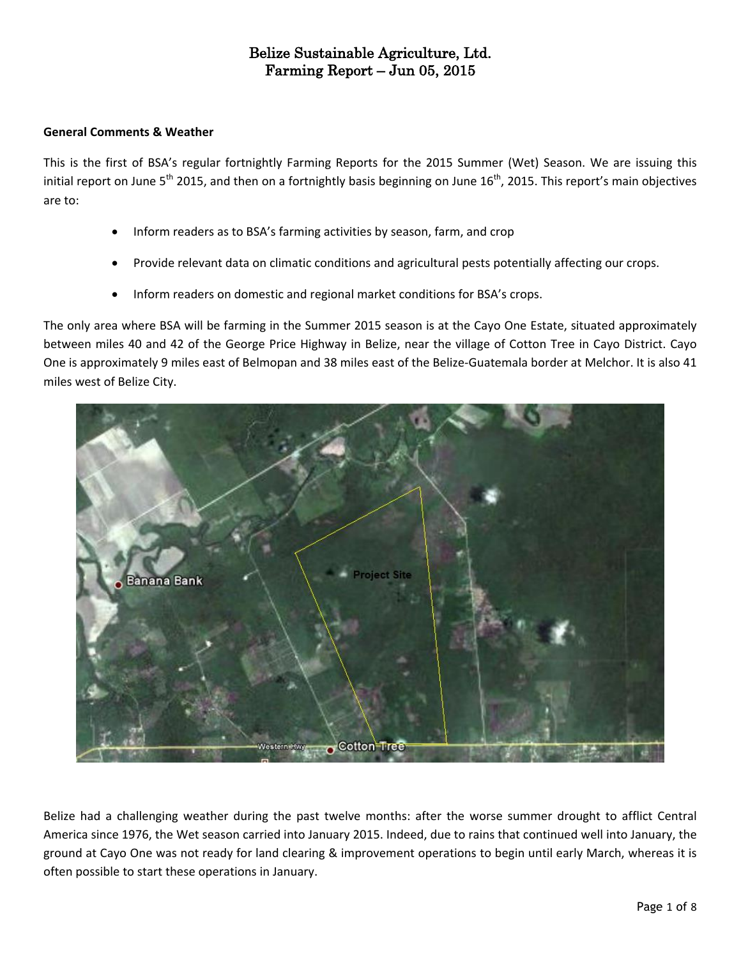#### **General Comments & Weather**

This is the first of BSA's regular fortnightly Farming Reports for the 2015 Summer (Wet) Season. We are issuing this initial report on June 5<sup>th</sup> 2015, and then on a fortnightly basis beginning on June 16<sup>th</sup>, 2015. This report's main objectives are to:

- Inform readers as to BSA's farming activities by season, farm, and crop
- Provide relevant data on climatic conditions and agricultural pests potentially affecting our crops.
- Inform readers on domestic and regional market conditions for BSA's crops.

The only area where BSA will be farming in the Summer 2015 season is at the Cayo One Estate, situated approximately between miles 40 and 42 of the George Price Highway in Belize, near the village of Cotton Tree in Cayo District. Cayo One is approximately 9 miles east of Belmopan and 38 miles east of the Belize-Guatemala border at Melchor. It is also 41 miles west of Belize City.



Belize had a challenging weather during the past twelve months: after the worse summer drought to afflict Central America since 1976, the Wet season carried into January 2015. Indeed, due to rains that continued well into January, the ground at Cayo One was not ready for land clearing & improvement operations to begin until early March, whereas it is often possible to start these operations in January.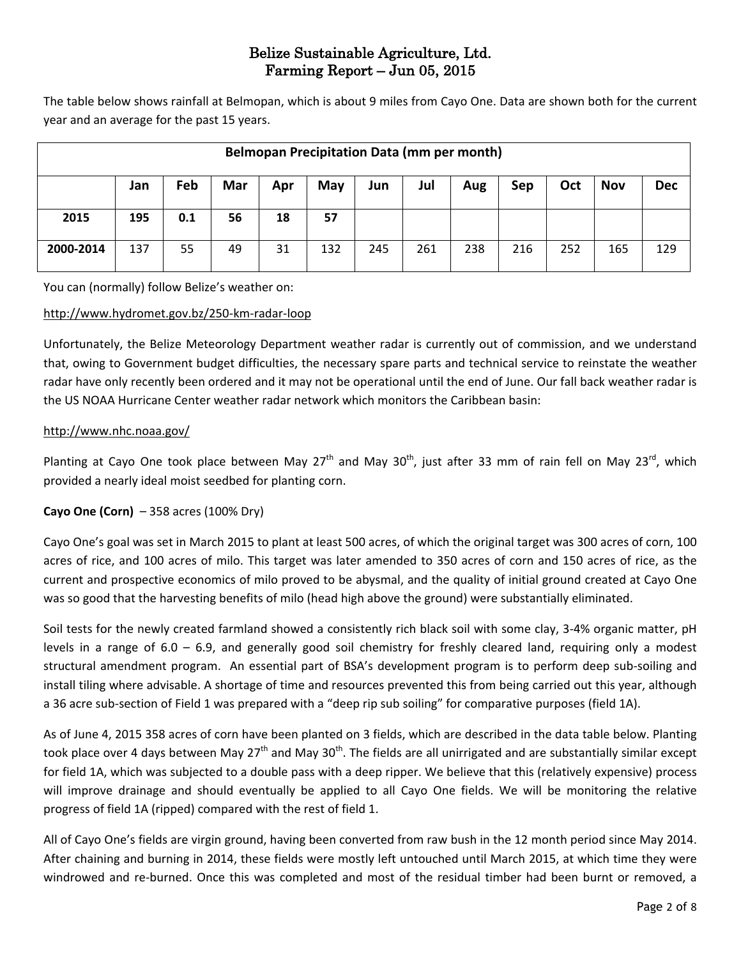The table below shows rainfall at Belmopan, which is about 9 miles from Cayo One. Data are shown both for the current year and an average for the past 15 years.

|           | <b>Belmopan Precipitation Data (mm per month)</b> |     |     |     |     |     |     |     |     |     |            |            |  |  |  |
|-----------|---------------------------------------------------|-----|-----|-----|-----|-----|-----|-----|-----|-----|------------|------------|--|--|--|
|           | Jan                                               | Feb | Mar | Apr | May | Jun | Jul | Aug | Sep | Oct | <b>Nov</b> | <b>Dec</b> |  |  |  |
| 2015      | 195                                               | 0.1 | 56  | 18  | 57  |     |     |     |     |     |            |            |  |  |  |
| 2000-2014 | 137                                               | 55  | 49  | 31  | 132 | 245 | 261 | 238 | 216 | 252 | 165        | 129        |  |  |  |

You can (normally) follow Belize's weather on:

#### <http://www.hydromet.gov.bz/250-km-radar-loop>

Unfortunately, the Belize Meteorology Department weather radar is currently out of commission, and we understand that, owing to Government budget difficulties, the necessary spare parts and technical service to reinstate the weather radar have only recently been ordered and it may not be operational until the end of June. Our fall back weather radar is the US NOAA Hurricane Center weather radar network which monitors the Caribbean basin:

#### <http://www.nhc.noaa.gov/>

Planting at Cayo One took place between May 27<sup>th</sup> and May 30<sup>th</sup>, just after 33 mm of rain fell on May 23<sup>rd</sup>, which provided a nearly ideal moist seedbed for planting corn.

#### **Cayo One (Corn)** – 358 acres (100% Dry)

Cayo One's goal was set in March 2015 to plant at least 500 acres, of which the original target was 300 acres of corn, 100 acres of rice, and 100 acres of milo. This target was later amended to 350 acres of corn and 150 acres of rice, as the current and prospective economics of milo proved to be abysmal, and the quality of initial ground created at Cayo One was so good that the harvesting benefits of milo (head high above the ground) were substantially eliminated.

Soil tests for the newly created farmland showed a consistently rich black soil with some clay, 3-4% organic matter, pH levels in a range of  $6.0 - 6.9$ , and generally good soil chemistry for freshly cleared land, requiring only a modest structural amendment program. An essential part of BSA's development program is to perform deep sub-soiling and install tiling where advisable. A shortage of time and resources prevented this from being carried out this year, although a 36 acre sub-section of Field 1 was prepared with a "deep rip sub soiling" for comparative purposes (field 1A).

As of June 4, 2015 358 acres of corn have been planted on 3 fields, which are described in the data table below. Planting took place over 4 days between May 27<sup>th</sup> and May 30<sup>th</sup>. The fields are all unirrigated and are substantially similar except for field 1A, which was subjected to a double pass with a deep ripper. We believe that this (relatively expensive) process will improve drainage and should eventually be applied to all Cayo One fields. We will be monitoring the relative progress of field 1A (ripped) compared with the rest of field 1.

All of Cayo One's fields are virgin ground, having been converted from raw bush in the 12 month period since May 2014. After chaining and burning in 2014, these fields were mostly left untouched until March 2015, at which time they were windrowed and re-burned. Once this was completed and most of the residual timber had been burnt or removed, a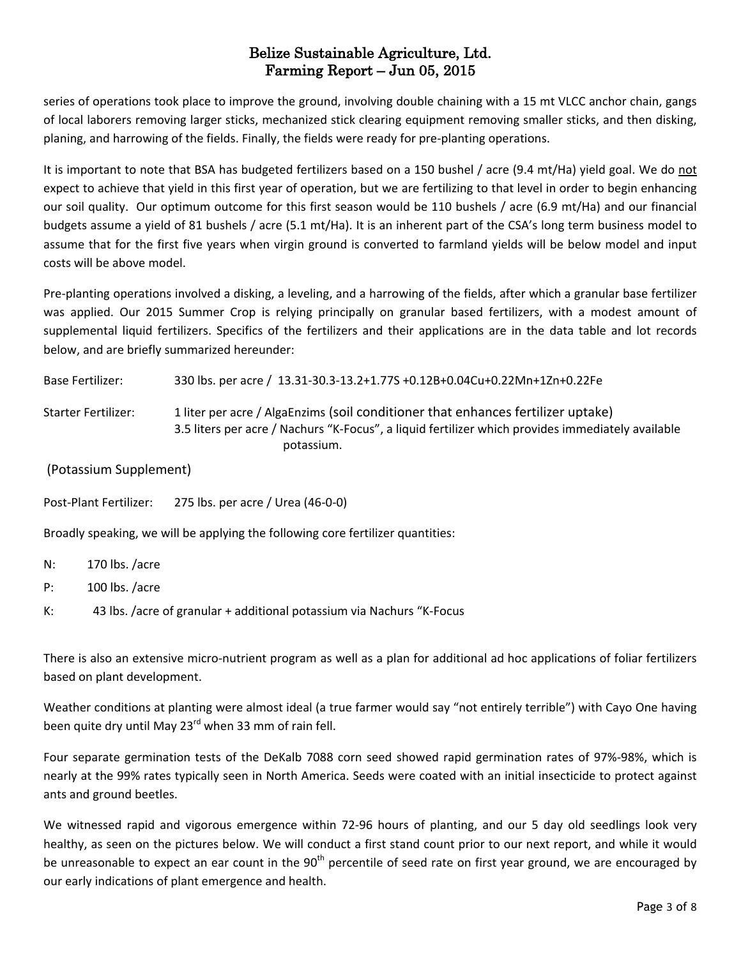series of operations took place to improve the ground, involving double chaining with a 15 mt VLCC anchor chain, gangs of local laborers removing larger sticks, mechanized stick clearing equipment removing smaller sticks, and then disking, planing, and harrowing of the fields. Finally, the fields were ready for pre-planting operations.

It is important to note that BSA has budgeted fertilizers based on a 150 bushel / acre (9.4 mt/Ha) yield goal. We do not expect to achieve that yield in this first year of operation, but we are fertilizing to that level in order to begin enhancing our soil quality. Our optimum outcome for this first season would be 110 bushels / acre (6.9 mt/Ha) and our financial budgets assume a yield of 81 bushels / acre (5.1 mt/Ha). It is an inherent part of the CSA's long term business model to assume that for the first five years when virgin ground is converted to farmland yields will be below model and input costs will be above model.

Pre-planting operations involved a disking, a leveling, and a harrowing of the fields, after which a granular base fertilizer was applied. Our 2015 Summer Crop is relying principally on granular based fertilizers, with a modest amount of supplemental liquid fertilizers. Specifics of the fertilizers and their applications are in the data table and lot records below, and are briefly summarized hereunder:

| <b>Base Fertilizer:</b>                                                         | 330 lbs. per acre / 13.31-30.3-13.2+1.77S +0.12B+0.04Cu+0.22Mn+1Zn+0.22Fe                                                                                                                           |  |  |  |  |  |  |  |  |  |  |
|---------------------------------------------------------------------------------|-----------------------------------------------------------------------------------------------------------------------------------------------------------------------------------------------------|--|--|--|--|--|--|--|--|--|--|
| <b>Starter Fertilizer:</b>                                                      | 1 liter per acre / AlgaEnzims (soil conditioner that enhances fertilizer uptake)<br>3.5 liters per acre / Nachurs "K-Focus", a liquid fertilizer which provides immediately available<br>potassium. |  |  |  |  |  |  |  |  |  |  |
| (Potassium Supplement)                                                          |                                                                                                                                                                                                     |  |  |  |  |  |  |  |  |  |  |
| Post-Plant Fertilizer:                                                          | 275 lbs. per acre / Urea (46-0-0)                                                                                                                                                                   |  |  |  |  |  |  |  |  |  |  |
| Broadly speaking, we will be applying the following core fertilizer quantities: |                                                                                                                                                                                                     |  |  |  |  |  |  |  |  |  |  |

- N: 170 lbs. /acre
- P: 100 lbs. /acre
- K: 43 lbs. /acre of granular + additional potassium via Nachurs "K-Focus

There is also an extensive micro-nutrient program as well as a plan for additional ad hoc applications of foliar fertilizers based on plant development.

Weather conditions at planting were almost ideal (a true farmer would say "not entirely terrible") with Cayo One having been quite dry until May 23<sup>rd</sup> when 33 mm of rain fell.

Four separate germination tests of the DeKalb 7088 corn seed showed rapid germination rates of 97%-98%, which is nearly at the 99% rates typically seen in North America. Seeds were coated with an initial insecticide to protect against ants and ground beetles.

We witnessed rapid and vigorous emergence within 72-96 hours of planting, and our 5 day old seedlings look very healthy, as seen on the pictures below. We will conduct a first stand count prior to our next report, and while it would be unreasonable to expect an ear count in the  $90<sup>th</sup>$  percentile of seed rate on first year ground, we are encouraged by our early indications of plant emergence and health.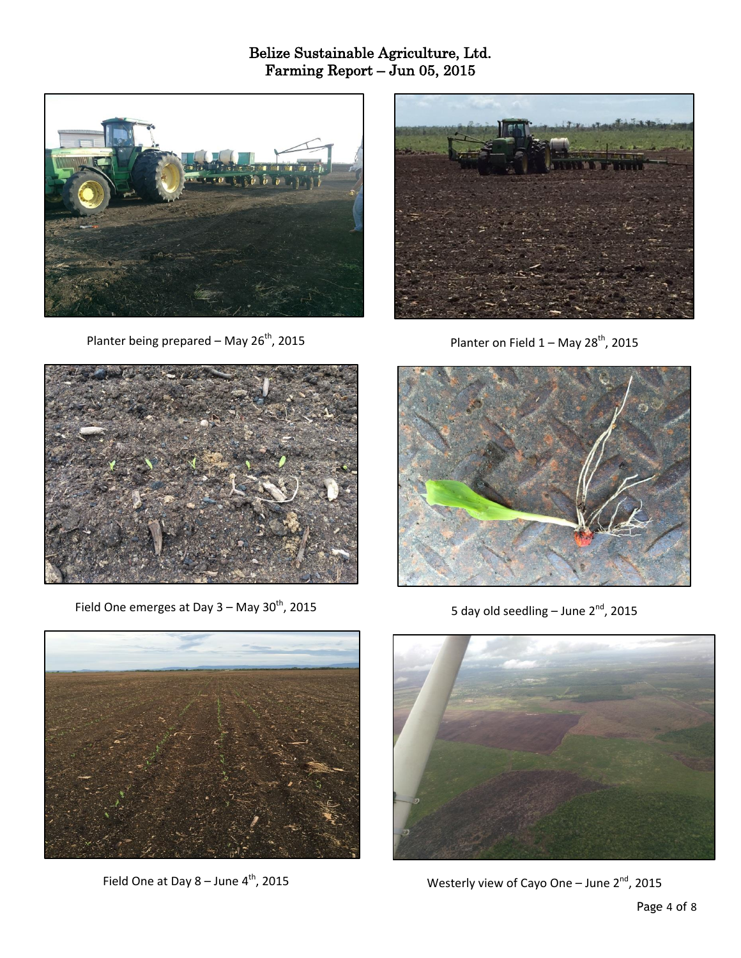

Planter being prepared – May 26<sup>th</sup>, 2015



Planter on Field  $1 -$  May 28<sup>th</sup>, 2015



Field One emerges at Day  $3 -$  May  $30<sup>th</sup>$ , 2015



5 day old seedling – June 2<sup>nd</sup>, 2015



Field One at Day  $8 -$  June  $4<sup>th</sup>$ , 2015



Westerly view of Cayo One - June  $2^{nd}$ , 2015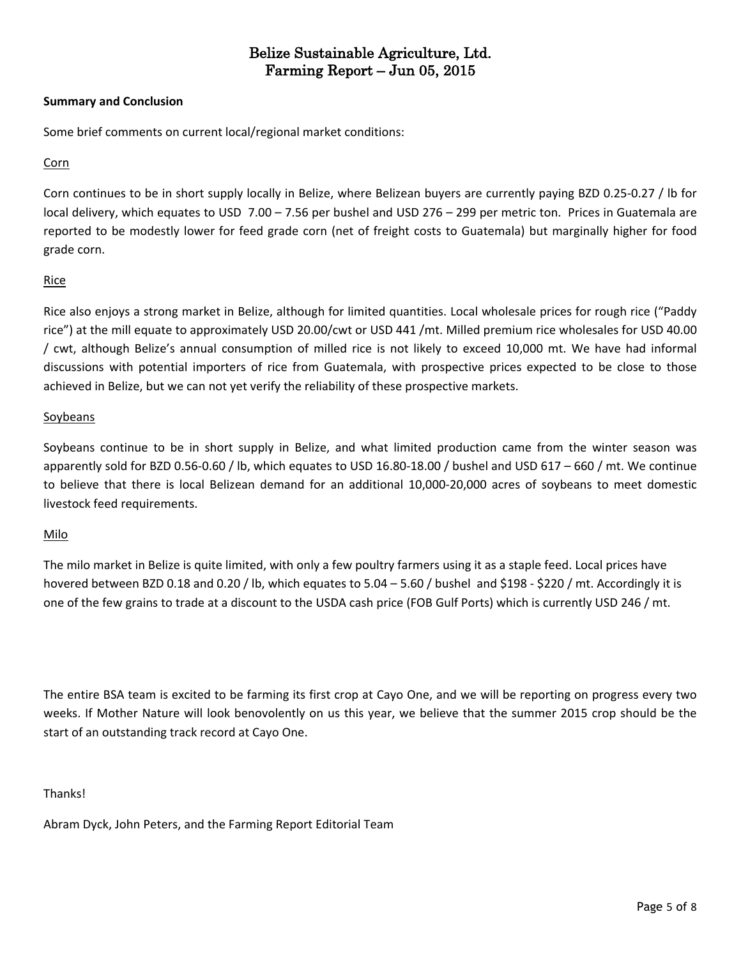#### **Summary and Conclusion**

Some brief comments on current local/regional market conditions:

#### Corn

Corn continues to be in short supply locally in Belize, where Belizean buyers are currently paying BZD 0.25-0.27 / lb for local delivery, which equates to USD 7.00 – 7.56 per bushel and USD 276 – 299 per metric ton. Prices in Guatemala are reported to be modestly lower for feed grade corn (net of freight costs to Guatemala) but marginally higher for food grade corn.

#### Rice

Rice also enjoys a strong market in Belize, although for limited quantities. Local wholesale prices for rough rice ("Paddy rice") at the mill equate to approximately USD 20.00/cwt or USD 441 /mt. Milled premium rice wholesales for USD 40.00 / cwt, although Belize's annual consumption of milled rice is not likely to exceed 10,000 mt. We have had informal discussions with potential importers of rice from Guatemala, with prospective prices expected to be close to those achieved in Belize, but we can not yet verify the reliability of these prospective markets.

#### Soybeans

Soybeans continue to be in short supply in Belize, and what limited production came from the winter season was apparently sold for BZD 0.56-0.60 / lb, which equates to USD 16.80-18.00 / bushel and USD 617 – 660 / mt. We continue to believe that there is local Belizean demand for an additional 10,000-20,000 acres of soybeans to meet domestic livestock feed requirements.

#### Milo

The milo market in Belize is quite limited, with only a few poultry farmers using it as a staple feed. Local prices have hovered between BZD 0.18 and 0.20 / lb, which equates to 5.04 – 5.60 / bushel and \$198 - \$220 / mt. Accordingly it is one of the few grains to trade at a discount to the USDA cash price (FOB Gulf Ports) which is currently USD 246 / mt.

The entire BSA team is excited to be farming its first crop at Cayo One, and we will be reporting on progress every two weeks. If Mother Nature will look benovolently on us this year, we believe that the summer 2015 crop should be the start of an outstanding track record at Cayo One.

#### Thanks!

Abram Dyck, John Peters, and the Farming Report Editorial Team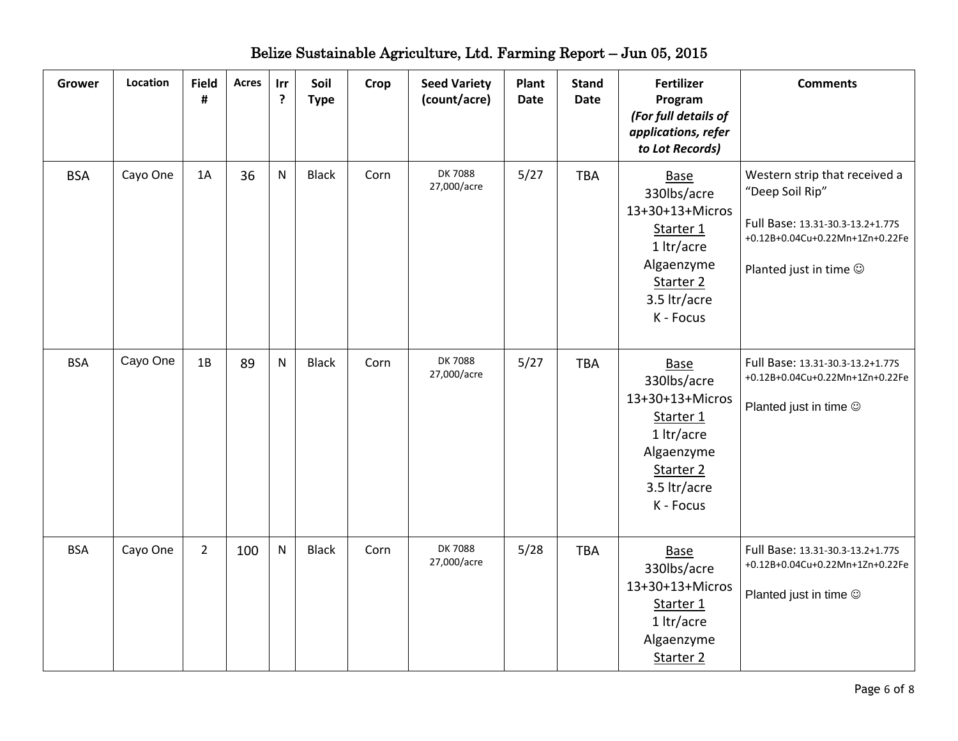| <b>Grower</b> | Location | <b>Field</b><br># | <b>Acres</b> | Irr<br>$\ddot{\cdot}$ | Soil<br><b>Type</b> | Crop | <b>Seed Variety</b><br>(count/acre) | Plant<br><b>Date</b> | <b>Stand</b><br><b>Date</b> | <b>Fertilizer</b><br>Program<br>(For full details of<br>applications, refer<br>to Lot Records)                                       | <b>Comments</b>                                                                                                                                         |
|---------------|----------|-------------------|--------------|-----------------------|---------------------|------|-------------------------------------|----------------------|-----------------------------|--------------------------------------------------------------------------------------------------------------------------------------|---------------------------------------------------------------------------------------------------------------------------------------------------------|
| <b>BSA</b>    | Cayo One | 1A                | 36           | N                     | <b>Black</b>        | Corn | <b>DK7088</b><br>27,000/acre        | 5/27                 | <b>TBA</b>                  | <b>Base</b><br>330lbs/acre<br>13+30+13+Micros<br>Starter 1<br>1 ltr/acre<br>Algaenzyme<br>Starter 2<br>3.5 ltr/acre<br>K - Focus     | Western strip that received a<br>"Deep Soil Rip"<br>Full Base: 13.31-30.3-13.2+1.77S<br>+0.12B+0.04Cu+0.22Mn+1Zn+0.22Fe<br>Planted just in time $\odot$ |
| <b>BSA</b>    | Cayo One | 1B                | 89           | $\mathsf{N}$          | <b>Black</b>        | Corn | <b>DK7088</b><br>27,000/acre        | 5/27                 | <b>TBA</b>                  | Base<br>330lbs/acre<br>13+30+13+Micros<br>Starter 1<br>1 ltr/acre<br>Algaenzyme<br>Starter <sub>2</sub><br>3.5 ltr/acre<br>K - Focus | Full Base: 13.31-30.3-13.2+1.77S<br>+0.12B+0.04Cu+0.22Mn+1Zn+0.22Fe<br>Planted just in time ©                                                           |
| <b>BSA</b>    | Cayo One | $\overline{2}$    | 100          | $\mathsf{N}$          | <b>Black</b>        | Corn | <b>DK7088</b><br>27,000/acre        | 5/28                 | <b>TBA</b>                  | <b>Base</b><br>330lbs/acre<br>13+30+13+Micros<br>Starter 1<br>1 ltr/acre<br>Algaenzyme<br>Starter 2                                  | Full Base: 13.31-30.3-13.2+1.77S<br>+0.12B+0.04Cu+0.22Mn+1Zn+0.22Fe<br>Planted just in time $\odot$                                                     |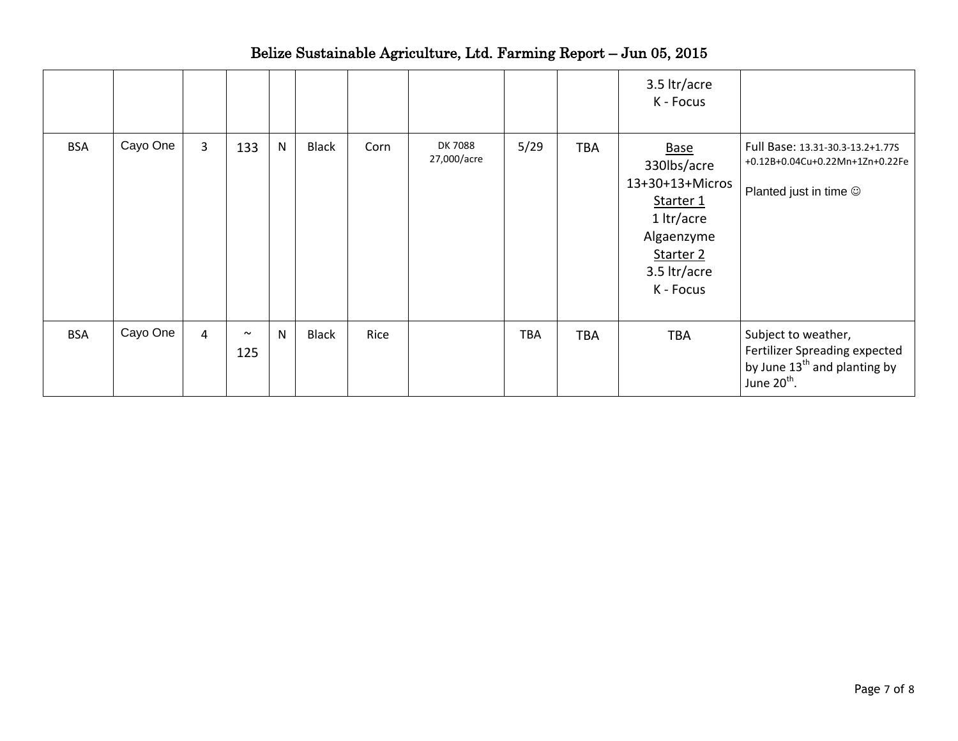|            |          |                |               |              |              |      |                               |            |            | 3.5 ltr/acre<br>K - Focus                                                                                                        |                                                                                                                             |
|------------|----------|----------------|---------------|--------------|--------------|------|-------------------------------|------------|------------|----------------------------------------------------------------------------------------------------------------------------------|-----------------------------------------------------------------------------------------------------------------------------|
| <b>BSA</b> | Cayo One | $\overline{3}$ | 133           | N            | <b>Black</b> | Corn | <b>DK 7088</b><br>27,000/acre | 5/29       | <b>TBA</b> | <b>Base</b><br>330lbs/acre<br>13+30+13+Micros<br>Starter 1<br>1 ltr/acre<br>Algaenzyme<br>Starter 2<br>3.5 ltr/acre<br>K - Focus | Full Base: 13.31-30.3-13.2+1.77S<br>+0.12B+0.04Cu+0.22Mn+1Zn+0.22Fe<br>Planted just in time $\circledcirc$                  |
| <b>BSA</b> | Cayo One | 4              | $\sim$<br>125 | $\mathsf{N}$ | <b>Black</b> | Rice |                               | <b>TBA</b> | <b>TBA</b> | <b>TBA</b>                                                                                                                       | Subject to weather,<br>Fertilizer Spreading expected<br>by June 13 <sup>th</sup> and planting by<br>June 20 <sup>th</sup> . |